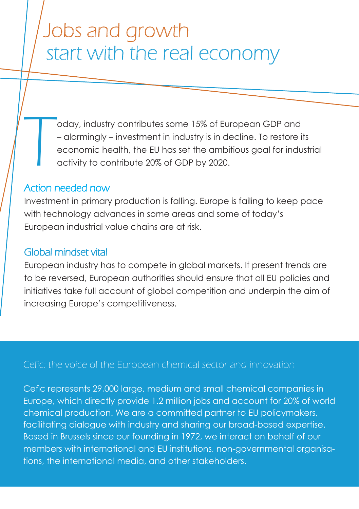# Jobs and growth start with the real economy

T oday, industry contributes some 15% of European GDP and – alarmingly – investment in industry is in decline. To restore its economic health, the EU has set the ambitious goal for industrial activity to contribute 20% of GDP by 2020.

#### Action needed now

Investment in primary production is falling. Europe is failing to keep pace with technology advances in some areas and some of today's European industrial value chains are at risk.

### Global mindset vital

European industry has to compete in global markets. If present trends are to be reversed, European authorities should ensure that all EU policies and initiatives take full account of global competition and underpin the aim of increasing Europe's competitiveness.

## Cefic: the voice of the European chemical sector and innovation

Cefic represents 29,000 large, medium and small chemical companies in Europe, which directly provide 1.2 million jobs and account for 20% of world chemical production. We are a committed partner to EU policymakers, facilitating dialogue with industry and sharing our broad-based expertise. Based in Brussels since our founding in 1972, we interact on behalf of our members with international and EU institutions, non-governmental organisations, the international media, and other stakeholders.